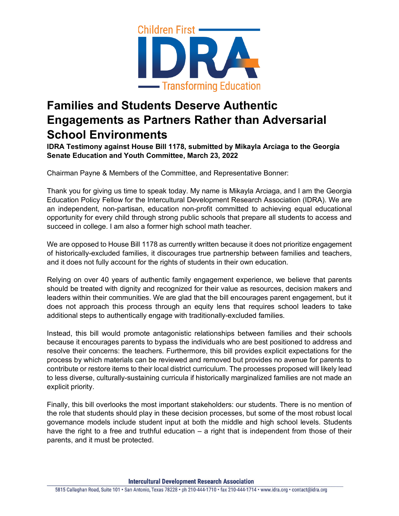

## **Families and Students Deserve Authentic Engagements as Partners Rather than Adversarial School Environments**

**IDRA Testimony against House Bill 1178, submitted by Mikayla Arciaga to the Georgia Senate Education and Youth Committee, March 23, 2022**

Chairman Payne & Members of the Committee, and Representative Bonner:

Thank you for giving us time to speak today. My name is Mikayla Arciaga, and I am the Georgia Education Policy Fellow for the Intercultural Development Research Association (IDRA). We are an independent, non-partisan, education non-profit committed to achieving equal educational opportunity for every child through strong public schools that prepare all students to access and succeed in college. I am also a former high school math teacher.

We are opposed to House Bill 1178 as currently written because it does not prioritize engagement of historically-excluded families, it discourages true partnership between families and teachers, and it does not fully account for the rights of students in their own education.

Relying on over 40 years of authentic family engagement experience, we believe that parents should be treated with dignity and recognized for their value as resources, decision makers and leaders within their communities. We are glad that the bill encourages parent engagement, but it does not approach this process through an equity lens that requires school leaders to take additional steps to authentically engage with traditionally-excluded families.

Instead, this bill would promote antagonistic relationships between families and their schools because it encourages parents to bypass the individuals who are best positioned to address and resolve their concerns: the teachers. Furthermore, this bill provides explicit expectations for the process by which materials can be reviewed and removed but provides no avenue for parents to contribute or restore items to their local district curriculum. The processes proposed will likely lead to less diverse, culturally-sustaining curricula if historically marginalized families are not made an explicit priority.

Finally, this bill overlooks the most important stakeholders: our students. There is no mention of the role that students should play in these decision processes, but some of the most robust local governance models include student input at both the middle and high school levels. Students have the right to a free and truthful education – a right that is independent from those of their parents, and it must be protected.

**Intercultural Development Research Association**